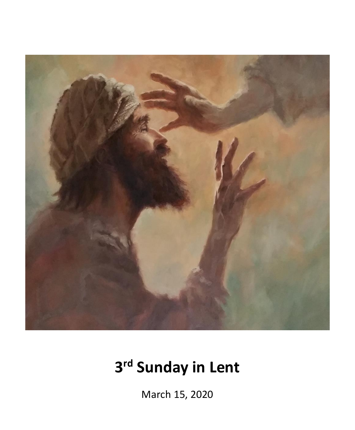

# **3 rd Sunday in Lent**

March 15, 2020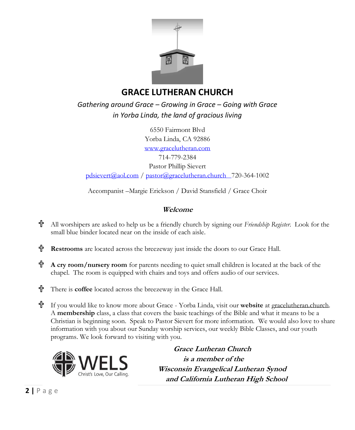

## **GRACE LUTHERAN CHURCH**

*Gathering around Grace – Growing in Grace – Going with Grace in Yorba Linda, the land of gracious living* 

6550 Fairmont Blvd Yorba Linda, CA 92886 [www.gracelutheran.com](http://www.gracelutheran.com/) 714-779-2384 Pastor Phillip Sievert [pdsievert@aol.com](mailto:pdsievert@aol.com) / [pastor@gracelutheran.church](mailto:pastor@gracelutheran.church) 720-364-1002

Accompanist –Margie Erickson / David Stansfield / Grace Choir

### **Welcome**

- 个 All worshipers are asked to help us be a friendly church by signing our *Friendship Register*. Look for the small blue binder located near on the inside of each aisle.
- 유 **Restrooms** are located across the breezeway just inside the doors to our Grace Hall.
- 个 **A cry room/nursery room** for parents needing to quiet small children is located at the back of the chapel. The room is equipped with chairs and toys and offers audio of our services.
- 带 There is **coffee** located across the breezeway in the Grace Hall.
- 带 If you would like to know more about Grace - Yorba Linda, visit our **website** at gracelutheran.church. A **membership** class, a class that covers the basic teachings of the Bible and what it means to be a Christian is beginning soon. Speak to Pastor Sievert for more information. We would also love to share information with you about our Sunday worship services, our weekly Bible Classes, and our youth programs. We look forward to visiting with you.



 **Grace Lutheran Church is a member of the Wisconsin Evangelical Lutheran Synod and California Lutheran High School**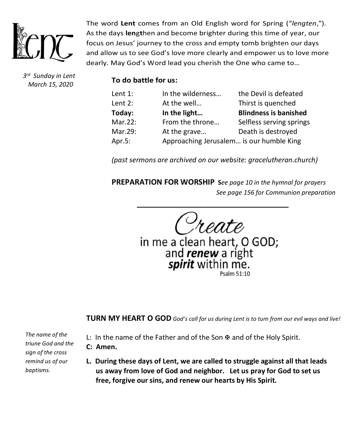

*3 rd Sunday in Lent March 15, 2020*

The word **Lent** comes from an Old English word for Spring ("*lengten*,"). As the days **len**g**t**hen and become brighter during this time of year, our focus on Jesus' journey to the cross and empty tomb brighten our days and allow us to see God's love more clearly and empower us to love more dearly. May God's Word lead you cherish the One who came to…

**To do battle for us:**

| Lent $1$ : | In the wilderness                        | the Devil is defeated        |
|------------|------------------------------------------|------------------------------|
| Lent $2:$  | At the well                              | Thirst is quenched           |
| Today:     | In the light                             | <b>Blindness is banished</b> |
| Mar.22:    | From the throne                          | Selfless serving springs     |
| Mar.29:    | At the grave                             | Death is destroyed           |
| Apr.5:     | Approaching Jerusalem is our humble King |                              |

*(past sermons are archived on our website: gracelutheran.church)*

**PREPARATION FOR WORSHIP S***ee page 10 in the hymnal for prayers See page 156 for Communion preparation*

**\_\_\_\_\_\_\_\_\_\_\_\_\_\_\_\_\_\_\_\_\_\_\_\_\_\_\_\_\_\_\_\_\_\_\_\_**

in me a clean heart, O GOD;<br>and **renew** a right<br>**spirit** within me.

**TURN MY HEART O GOD** *God's call for us during Lent is to turn from our evil ways and live!*

*The name of the triune God and the sign of the cross remind us of our baptisms.*

- L: In the name of the Father and of the Son  $\mathfrak{B}$  and of the Holy Spirit.
- **C: Amen.**
- **L. During these days of Lent, we are called to struggle against all that leads us away from love of God and neighbor. Let us pray for God to set us free, forgive our sins, and renew our hearts by His Spirit.**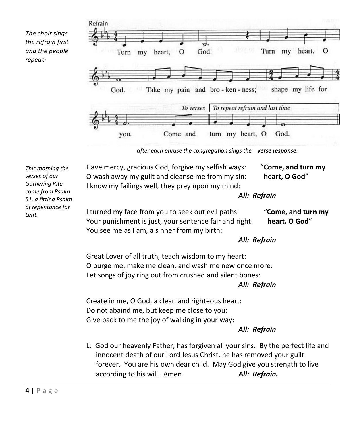*The choir sings the refrain first and the people repeat:*



*after each phrase the congregation sings the verse response:*

| This morning the<br>verses of our<br>Gathering Rite<br>come from Psalm<br>51, a fitting Psalm<br>of repentance for<br>Lent. | Have mercy, gracious God, forgive my selfish ways:<br>O wash away my guilt and cleanse me from my sin:<br>I know my failings well, they prey upon my mind:                                                                      | "Come, and turn my<br>heart, O God" |  |  |
|-----------------------------------------------------------------------------------------------------------------------------|---------------------------------------------------------------------------------------------------------------------------------------------------------------------------------------------------------------------------------|-------------------------------------|--|--|
|                                                                                                                             | All: Refrain                                                                                                                                                                                                                    |                                     |  |  |
|                                                                                                                             | I turned my face from you to seek out evil paths:<br>Your punishment is just, your sentence fair and right:<br>You see me as I am, a sinner from my birth:                                                                      | "Come, and turn my<br>heart, O God" |  |  |
|                                                                                                                             |                                                                                                                                                                                                                                 | All: Refrain                        |  |  |
|                                                                                                                             | Great Lover of all truth, teach wisdom to my heart:<br>O purge me, make me clean, and wash me new once more:<br>Let songs of joy ring out from crushed and silent bones:<br>All: Refrain                                        |                                     |  |  |
|                                                                                                                             | Create in me, O God, a clean and righteous heart:                                                                                                                                                                               |                                     |  |  |
|                                                                                                                             | Do not abaind me, but keep me close to you:                                                                                                                                                                                     |                                     |  |  |
|                                                                                                                             | Give back to me the joy of walking in your way:                                                                                                                                                                                 |                                     |  |  |
|                                                                                                                             |                                                                                                                                                                                                                                 | All: Refrain                        |  |  |
|                                                                                                                             | L: God our heavenly Father, has forgiven all your sins. By the perfect life and<br>innocent death of our Lord Jesus Christ, he has removed your guilt<br>forever. You are his own dear child. May God give you strength to live |                                     |  |  |
|                                                                                                                             | according to his will. Amen.                                                                                                                                                                                                    | All: Refrain.                       |  |  |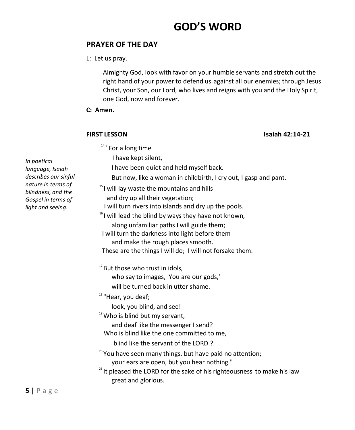## **GOD'S WORD**

### **PRAYER OF THE DAY**

L: Let us pray.

Almighty God, look with favor on your humble servants and stretch out the right hand of your power to defend us against all our enemies; through Jesus Christ, your Son, our Lord, who lives and reigns with you and the Holy Spirit, one God, now and forever.

**C: Amen.** 

**FIRST LESSON Isaiah 42:14-21**

<sup>14</sup> "For a long time

I have kept silent,

I have been quiet and held myself back.

But now, like a woman in childbirth, I cry out, I gasp and pant.

 $15$  I will lay waste the mountains and hills

and dry up all their vegetation;

I will turn rivers into islands and dry up the pools.

- $16$  I will lead the blind by ways they have not known, along unfamiliar paths I will guide them;
- I will turn the darkness into light before them

and make the rough places smooth. These are the things I will do; I will not forsake them.

 $17$  But those who trust in idols,

who say to images, 'You are our gods,'

will be turned back in utter shame.

<sup>18</sup> "Hear, you deaf;

look, you blind, and see!

 $19$  Who is blind but my servant,

and deaf like the messenger I send?

Who is blind like the one committed to me,

blind like the servant of the LORD ?

- <sup>20</sup> You have seen many things, but have paid no attention; your ears are open, but you hear nothing."
- $21$ <sup>21</sup> It pleased the LORD for the sake of his righteousness to make his law great and glorious.

*In poetical language, Isaiah describes our sinful nature in terms of blindness, and the Gospel in terms of light and seeing.*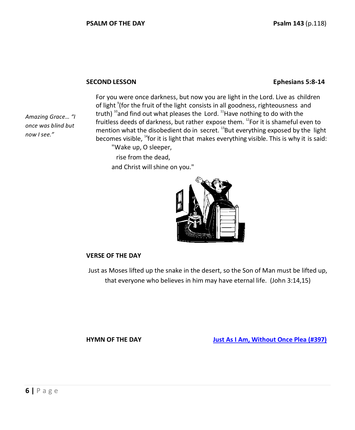#### **SECOND LESSON Ephesians 5:8-14**

*Amazing Grace… "I once was blind but now I see."*

For you were once darkness, but now you are light in the Lord. Live as children of light <sup>9</sup>(for the fruit of the light consists in all goodness, righteousness and truth)  $^{10}$  and find out what pleases the Lord.  $^{11}$ Have nothing to do with the fruitless deeds of darkness, but rather expose them.  $^{12}$ For it is shameful even to mention what the disobedient do in secret.  $^{13}$ But everything exposed by the light becomes visible,  $14$ for it is light that makes everything visible. This is why it is said: "Wake up, O sleeper,

 rise from the dead, and Christ will shine on you."



#### **VERSE OF THE DAY**

Just as Moses lifted up the snake in the desert, so the Son of Man must be lifted up, that everyone who believes in him may have eternal life. (John 3:14,15)

<span id="page-5-0"></span>**HYMN OF THE DAY [Just As I Am, Without Once Plea \(#397\)](#page-11-0)**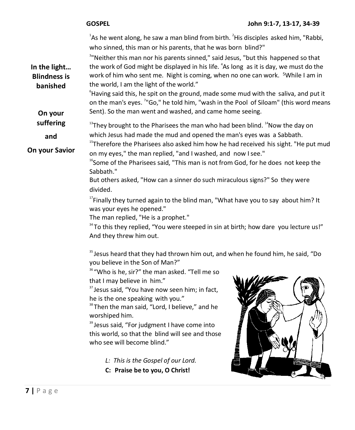| <sup>1</sup> As he went along, he saw a man blind from birth. <sup>2</sup> His disciples asked him, "Rabbi,<br>who sinned, this man or his parents, that he was born blind?"                                                                                                                                                                                                                                                                                                                                                                                                                                                                                      |  |  |
|-------------------------------------------------------------------------------------------------------------------------------------------------------------------------------------------------------------------------------------------------------------------------------------------------------------------------------------------------------------------------------------------------------------------------------------------------------------------------------------------------------------------------------------------------------------------------------------------------------------------------------------------------------------------|--|--|
| <sup>3</sup> "Neither this man nor his parents sinned," said Jesus, "but this happened so that<br>the work of God might be displayed in his life. <sup>4</sup> As long as it is day, we must do the<br>work of him who sent me. Night is coming, when no one can work. <sup>5</sup> While I am in<br>the world, I am the light of the world."<br><sup>6</sup> Having said this, he spit on the ground, made some mud with the saliva, and put it<br>on the man's eyes. <sup>7</sup> "Go," he told him, "wash in the Pool of Siloam" (this word means<br>Sent). So the man went and washed, and came home seeing.                                                  |  |  |
| <sup>13</sup> They brought to the Pharisees the man who had been blind. <sup>14</sup> Now the day on                                                                                                                                                                                                                                                                                                                                                                                                                                                                                                                                                              |  |  |
| which Jesus had made the mud and opened the man's eyes was a Sabbath.                                                                                                                                                                                                                                                                                                                                                                                                                                                                                                                                                                                             |  |  |
| <sup>15</sup> Therefore the Pharisees also asked him how he had received his sight. "He put mud<br>on my eyes," the man replied, "and I washed, and now I see."                                                                                                                                                                                                                                                                                                                                                                                                                                                                                                   |  |  |
| <sup>16</sup> Some of the Pharisees said, "This man is not from God, for he does not keep the<br>Sabbath."<br>But others asked, "How can a sinner do such miraculous signs?" So they were                                                                                                                                                                                                                                                                                                                                                                                                                                                                         |  |  |
| divided.<br><sup>17</sup> Finally they turned again to the blind man, "What have you to say about him? It<br>was your eyes he opened."<br>The man replied, "He is a prophet."<br>34 To this they replied, "You were steeped in sin at birth; how dare you lecture us!"<br>And they threw him out.                                                                                                                                                                                                                                                                                                                                                                 |  |  |
| <sup>35</sup> Jesus heard that they had thrown him out, and when he found him, he said, "Do<br>you believe in the Son of Man?"<br><sup>36</sup> "Who is he, sir?" the man asked. "Tell me so<br>that I may believe in him."<br><sup>37</sup> Jesus said, "You have now seen him; in fact,<br>he is the one speaking with you."<br><sup>38</sup> Then the man said, "Lord, I believe," and he<br>worshiped him.<br><b>Militerritary and</b><br><sup>39</sup> Jesus said, "For judgment I have come into<br>this world, so that the blind will see and those<br>who see will become blind."<br>L: This is the Gospel of our Lord.<br>C: Praise be to you, O Christ! |  |  |
|                                                                                                                                                                                                                                                                                                                                                                                                                                                                                                                                                                                                                                                                   |  |  |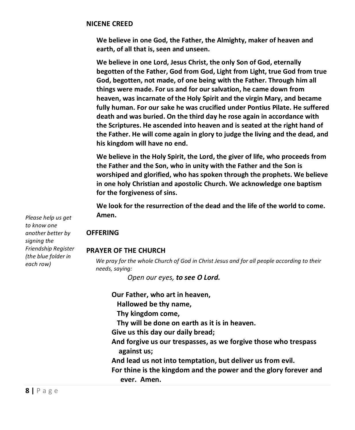#### **NICENE CREED**

**We believe in one God, the Father, the Almighty, maker of heaven and earth, of all that is, seen and unseen.**

**We believe in one Lord, Jesus Christ, the only Son of God, eternally begotten of the Father, God from God, Light from Light, true God from true God, begotten, not made, of one being with the Father. Through him all things were made. For us and for our salvation, he came down from heaven, was incarnate of the Holy Spirit and the virgin Mary, and became fully human. For our sake he was crucified under Pontius Pilate. He suffered death and was buried. On the third day he rose again in accordance with the Scriptures. He ascended into heaven and is seated at the right hand of the Father. He will come again in glory to judge the living and the dead, and his kingdom will have no end.**

**We believe in the Holy Spirit, the Lord, the giver of life, who proceeds from the Father and the Son, who in unity with the Father and the Son is worshiped and glorified, who has spoken through the prophets. We believe in one holy Christian and apostolic Church. We acknowledge one baptism for the forgiveness of sins.**

**We look for the resurrection of the dead and the life of the world to come. Amen.**

#### **OFFERING**

#### **PRAYER OF THE CHURCH**

*We pray for the whole Church of God in Christ Jesus and for all people according to their needs, saying:* 

*Open our eyes, to see O Lord.*

**Our Father, who art in heaven,**

- **Hallowed be thy name,**
- **Thy kingdom come,**
- **Thy will be done on earth as it is in heaven.**
- **Give us this day our daily bread;**
- **And forgive us our trespasses, as we forgive those who trespass against us;**
- **And lead us not into temptation, but deliver us from evil.**
- **For thine is the kingdom and the power and the glory forever and ever. Amen.**

*Please help us get to know one another better by signing the Friendship Register (the blue folder in each row)*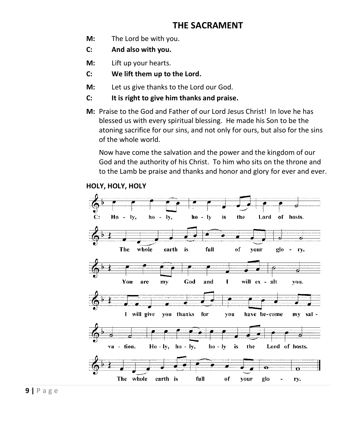### **THE SACRAMENT**

- **M:** The Lord be with you.
- **C: And also with you.**
- **M:** Lift up your hearts.
- **C: We lift them up to the Lord.**
- **M:** Let us give thanks to the Lord our God.
- **C: It is right to give him thanks and praise.**
- **M:** Praise to the God and Father of our Lord Jesus Christ! In love he has blessed us with every spiritual blessing. He made his Son to be the atoning sacrifice for our sins, and not only for ours, but also for the sins of the whole world.

Now have come the salvation and the power and the kingdom of our God and the authority of his Christ. To him who sits on the throne and to the Lamb be praise and thanks and honor and glory for ever and ever.



#### **HOLY, HOLY, HOLY**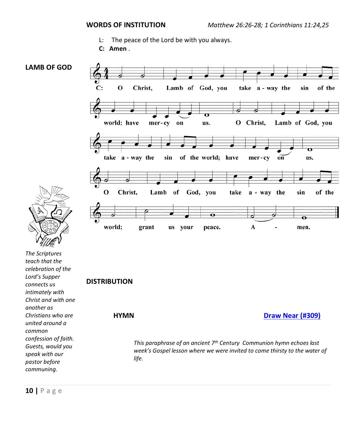- L: The peace of the Lord be with you always.
- **C: Amen** .



<span id="page-9-0"></span>**HYMN [Draw Near](#page-12-0) (#309)**

*This paraphrase of an ancient 7th Century Communion hymn echoes last week's Gospel lesson where we were invited to come thirsty to the water of life.*

*united around a common* 

*confession of faith. Guests, would you speak with our pastor before communing.*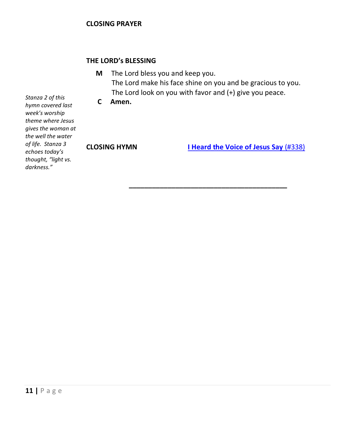#### **THE LORD's BLESSING**

**M** The Lord bless you and keep you. The Lord make his face shine on you and be gracious to you. The Lord look on you with favor and (+) give you peace.

**\_\_\_\_\_\_\_\_\_\_\_\_\_\_\_\_\_\_\_\_\_\_\_\_\_\_\_\_\_\_\_\_\_\_\_\_\_\_\_\_\_**

**C Amen.** 

<span id="page-10-0"></span>

**CLOSING HYMN [I Heard the Voice of Jesus Say](#page-13-0)** (#338)

*Stanza 2 of this hymn covered last week's worship theme where Jesus gives the woman at the well the water of life. Stanza 3 echoes today's thought, "light vs. darkness."*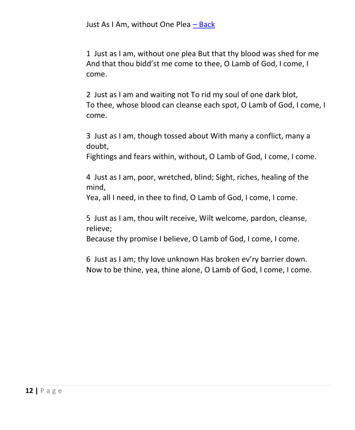<span id="page-11-0"></span>1 Just as I am, without one plea But that thy blood was shed for me And that thou bidd'st me come to thee, O Lamb of God, I come, I come.

2 Just as I am and waiting not To rid my soul of one dark blot, To thee, whose blood can cleanse each spot, O Lamb of God, I come, I come.

3 Just as I am, though tossed about With many a conflict, many a doubt,

Fightings and fears within, without, O Lamb of God, I come, I come.

4 Just as I am, poor, wretched, blind; Sight, riches, healing of the mind,

Yea, all I need, in thee to find, O Lamb of God, I come, I come.

5 Just as I am, thou wilt receive, Wilt welcome, pardon, cleanse, relieve;

Because thy promise I believe, O Lamb of God, I come, I come.

6 Just as I am; thy love unknown Has broken ev'ry barrier down. Now to be thine, yea, thine alone, O Lamb of God, I come, I come.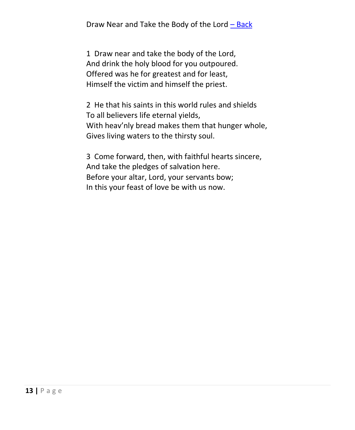<span id="page-12-0"></span>Draw Near and Take the Body of the Lord – [Back](#page-9-0)

1 Draw near and take the body of the Lord, And drink the holy blood for you outpoured. Offered was he for greatest and for least, Himself the victim and himself the priest.

2 He that his saints in this world rules and shields To all believers life eternal yields, With heav'nly bread makes them that hunger whole, Gives living waters to the thirsty soul.

3 Come forward, then, with faithful hearts sincere, And take the pledges of salvation here. Before your altar, Lord, your servants bow; In this your feast of love be with us now.